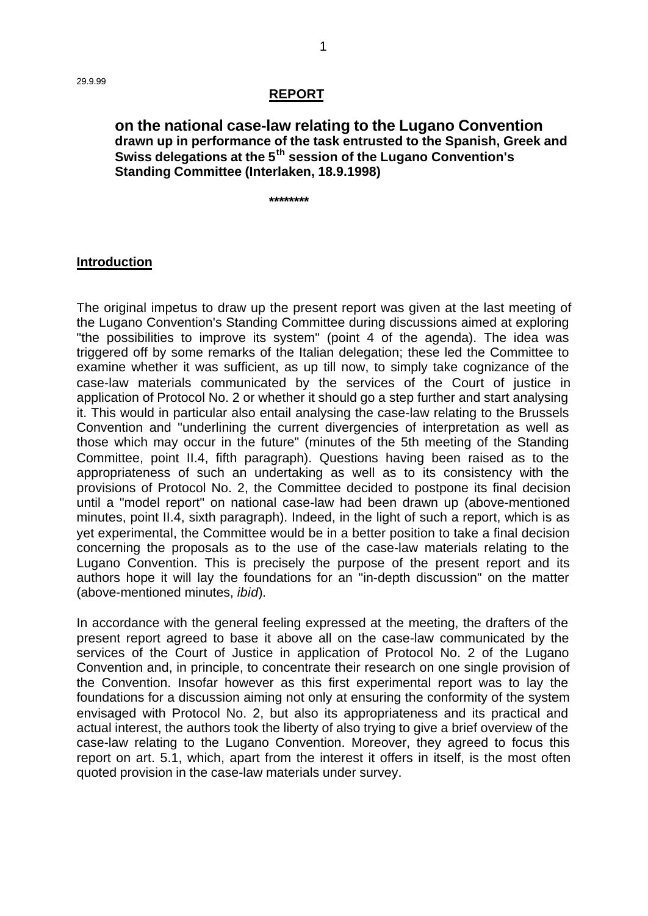#### **REPORT**

### **on the national case-law relating to the Lugano Convention drawn up in performance of the task entrusted to the Spanish, Greek and Swiss delegations at the 5th session of the Lugano Convention's Standing Committee (Interlaken, 18.9.1998)**

**\*\*\*\*\*\*\*\***

#### **Introduction**

The original impetus to draw up the present report was given at the last meeting of the Lugano Convention's Standing Committee during discussions aimed at exploring "the possibilities to improve its system" (point 4 of the agenda). The idea was triggered off by some remarks of the Italian delegation; these led the Committee to examine whether it was sufficient, as up till now, to simply take cognizance of the case-law materials communicated by the services of the Court of justice in application of Protocol No. 2 or whether it should go a step further and start analysing it. This would in particular also entail analysing the case-law relating to the Brussels Convention and "underlining the current divergencies of interpretation as well as those which may occur in the future" (minutes of the 5th meeting of the Standing Committee, point II.4, fifth paragraph). Questions having been raised as to the appropriateness of such an undertaking as well as to its consistency with the provisions of Protocol No. 2, the Committee decided to postpone its final decision until a "model report" on national case-law had been drawn up (above-mentioned minutes, point II.4, sixth paragraph). Indeed, in the light of such a report, which is as yet experimental, the Committee would be in a better position to take a final decision concerning the proposals as to the use of the case-law materials relating to the Lugano Convention. This is precisely the purpose of the present report and its authors hope it will lay the foundations for an "in-depth discussion" on the matter (above-mentioned minutes, *ibid*).

In accordance with the general feeling expressed at the meeting, the drafters of the present report agreed to base it above all on the case-law communicated by the services of the Court of Justice in application of Protocol No. 2 of the Lugano Convention and, in principle, to concentrate their research on one single provision of the Convention. Insofar however as this first experimental report was to lay the foundations for a discussion aiming not only at ensuring the conformity of the system envisaged with Protocol No. 2, but also its appropriateness and its practical and actual interest, the authors took the liberty of also trying to give a brief overview of the case-law relating to the Lugano Convention. Moreover, they agreed to focus this report on art. 5.1, which, apart from the interest it offers in itself, is the most often quoted provision in the case-law materials under survey.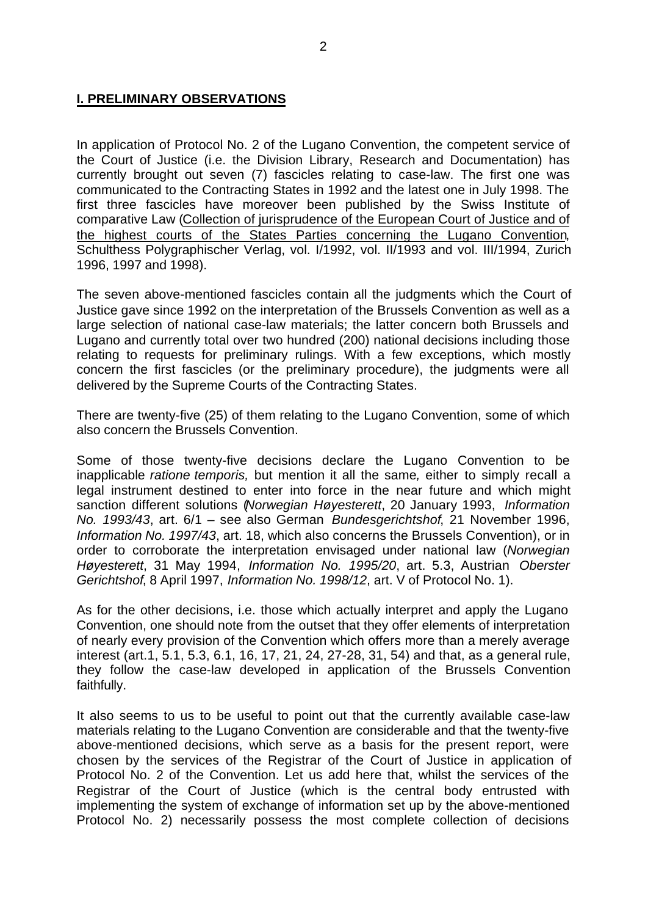## **I. PRELIMINARY OBSERVATIONS**

In application of Protocol No. 2 of the Lugano Convention, the competent service of the Court of Justice (i.e. the Division Library, Research and Documentation) has currently brought out seven (7) fascicles relating to case-law. The first one was communicated to the Contracting States in 1992 and the latest one in July 1998. The first three fascicles have moreover been published by the Swiss Institute of comparative Law (Collection of jurisprudence of the European Court of Justice and of the highest courts of the States Parties concerning the Lugano Convention, Schulthess Polygraphischer Verlag, vol. I/1992, vol. II/1993 and vol. III/1994, Zurich 1996, 1997 and 1998).

The seven above-mentioned fascicles contain all the judgments which the Court of Justice gave since 1992 on the interpretation of the Brussels Convention as well as a large selection of national case-law materials; the latter concern both Brussels and Lugano and currently total over two hundred (200) national decisions including those relating to requests for preliminary rulings. With a few exceptions, which mostly concern the first fascicles (or the preliminary procedure), the judgments were all delivered by the Supreme Courts of the Contracting States.

There are twenty-five (25) of them relating to the Lugano Convention, some of which also concern the Brussels Convention.

Some of those twenty-five decisions declare the Lugano Convention to be inapplicable *ratione temporis,* but mention it all the same*,* either to simply recall a legal instrument destined to enter into force in the near future and which might sanction different solutions (*Norwegian Høyesterett*, 20 January 1993, *Information No. 1993/43*, art. 6/1 – see also German *Bundesgerichtshof*, 21 November 1996, *Information No. 1997/43*, art. 18, which also concerns the Brussels Convention), or in order to corroborate the interpretation envisaged under national law (*Norwegian Høyesterett*, 31 May 1994, *Information No. 1995/20*, art. 5.3, Austrian *Oberster Gerichtshof*, 8 April 1997, *Information No. 1998/12*, art. V of Protocol No. 1).

As for the other decisions, i.e. those which actually interpret and apply the Lugano Convention, one should note from the outset that they offer elements of interpretation of nearly every provision of the Convention which offers more than a merely average interest (art.1, 5.1, 5.3, 6.1, 16, 17, 21, 24, 27-28, 31, 54) and that, as a general rule, they follow the case-law developed in application of the Brussels Convention faithfully.

It also seems to us to be useful to point out that the currently available case-law materials relating to the Lugano Convention are considerable and that the twenty-five above-mentioned decisions, which serve as a basis for the present report, were chosen by the services of the Registrar of the Court of Justice in application of Protocol No. 2 of the Convention. Let us add here that, whilst the services of the Registrar of the Court of Justice (which is the central body entrusted with implementing the system of exchange of information set up by the above-mentioned Protocol No. 2) necessarily possess the most complete collection of decisions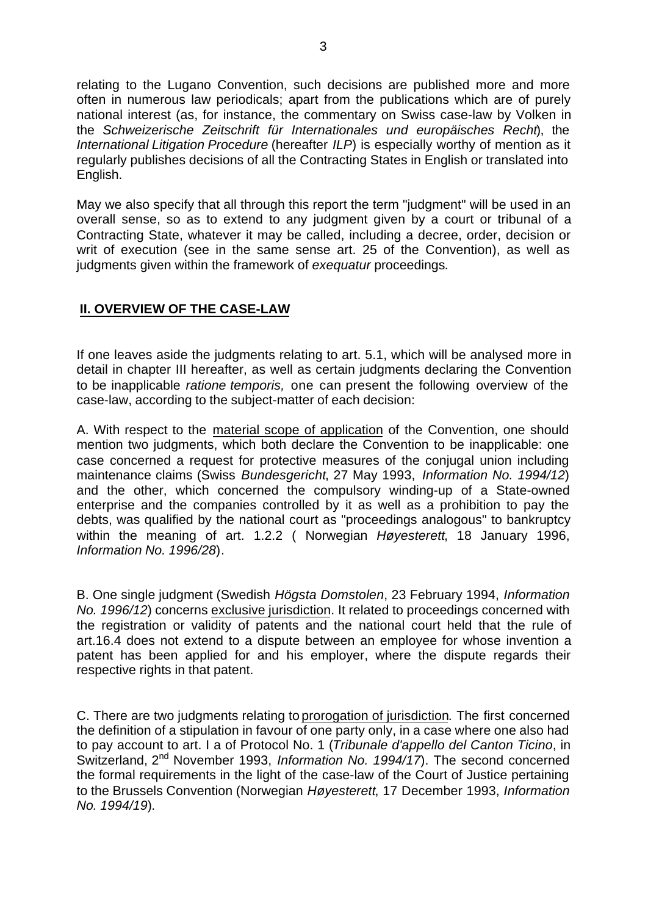relating to the Lugano Convention, such decisions are published more and more often in numerous law periodicals; apart from the publications which are of purely national interest (as, for instance, the commentary on Swiss case-law by Volken in the *Schweizerische Zeitschrift für Internationales und europäisches Recht*), the *International Litigation Procedure* (hereafter *ILP*) is especially worthy of mention as it regularly publishes decisions of all the Contracting States in English or translated into English.

May we also specify that all through this report the term "judgment" will be used in an overall sense, so as to extend to any judgment given by a court or tribunal of a Contracting State, whatever it may be called, including a decree, order, decision or writ of execution (see in the same sense art. 25 of the Convention), as well as judgments given within the framework of *exequatur* proceedings*.*

# **II. OVERVIEW OF THE CASE-LAW**

If one leaves aside the judgments relating to art. 5.1, which will be analysed more in detail in chapter III hereafter, as well as certain judgments declaring the Convention to be inapplicable *ratione temporis,* one can present the following overview of the case-law, according to the subject-matter of each decision:

A. With respect to the material scope of application of the Convention, one should mention two judgments, which both declare the Convention to be inapplicable: one case concerned a request for protective measures of the conjugal union including maintenance claims (Swiss *Bundesgericht*, 27 May 1993, *Information No. 1994/12*) and the other, which concerned the compulsory winding-up of a State-owned enterprise and the companies controlled by it as well as a prohibition to pay the debts, was qualified by the national court as "proceedings analogous" to bankruptcy within the meaning of art. 1.2.2 ( Norwegian *Høyesterett*, 18 January 1996, *Information No. 1996/28*).

B. One single judgment (Swedish *Högsta Domstolen*, 23 February 1994, *Information No. 1996/12*) concerns exclusive jurisdiction. It related to proceedings concerned with the registration or validity of patents and the national court held that the rule of art.16.4 does not extend to a dispute between an employee for whose invention a patent has been applied for and his employer, where the dispute regards their respective rights in that patent.

C. There are two judgments relating to prorogation of jurisdiction. The first concerned the definition of a stipulation in favour of one party only, in a case where one also had to pay account to art. I a of Protocol No. 1 (*Tribunale d'appello del Canton Ticino*, in Switzerland, 2nd November 1993, *Information No. 1994/17*). The second concerned the formal requirements in the light of the case-law of the Court of Justice pertaining to the Brussels Convention (Norwegian *Høyesterett*, 17 December 1993, *Information No. 1994/19*).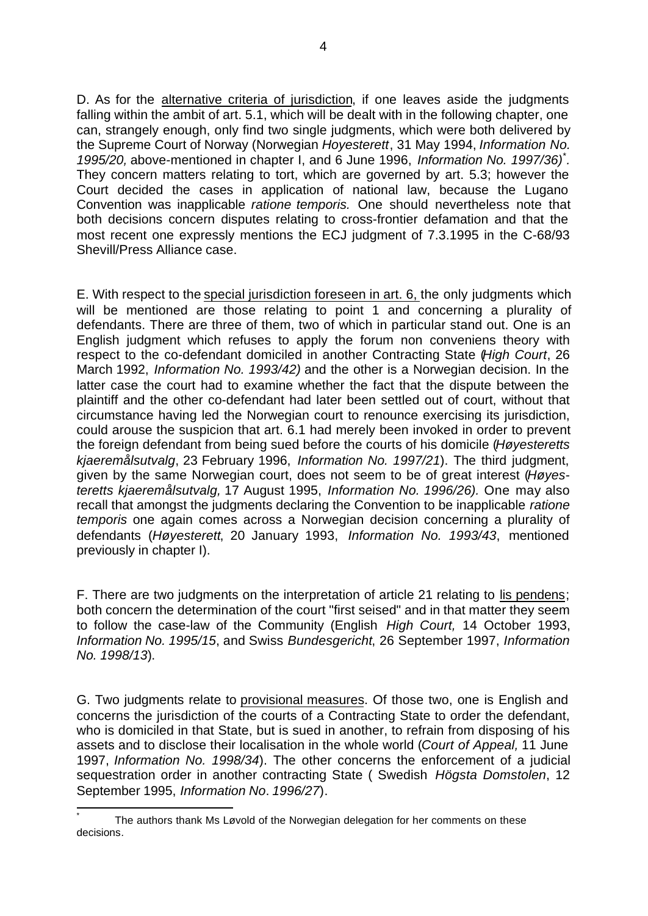D. As for the alternative criteria of jurisdiction, if one leaves aside the judgments falling within the ambit of art. 5.1, which will be dealt with in the following chapter, one can, strangely enough, only find two single judgments, which were both delivered by the Supreme Court of Norway (Norwegian *Hoyesterett*, 31 May 1994, *Information No. 1995/20,* above-mentioned in chapter I, and 6 June 1996, *Information No. 1997/36)\* .* They concern matters relating to tort, which are governed by art. 5.3; however the Court decided the cases in application of national law, because the Lugano Convention was inapplicable *ratione temporis.* One should nevertheless note that both decisions concern disputes relating to cross-frontier defamation and that the most recent one expressly mentions the ECJ judgment of 7.3.1995 in the C-68/93 Shevill/Press Alliance case.

E. With respect to the special jurisdiction foreseen in art. 6, the only judgments which will be mentioned are those relating to point 1 and concerning a plurality of defendants. There are three of them, two of which in particular stand out. One is an English judgment which refuses to apply the forum non conveniens theory with respect to the co-defendant domiciled in another Contracting State (*High Court*, 26 March 1992, *Information No. 1993/42)* and the other is a Norwegian decision. In the latter case the court had to examine whether the fact that the dispute between the plaintiff and the other co-defendant had later been settled out of court, without that circumstance having led the Norwegian court to renounce exercising its jurisdiction, could arouse the suspicion that art. 6.1 had merely been invoked in order to prevent the foreign defendant from being sued before the courts of his domicile (*Høyesteretts kjaeremålsutvalg*, 23 February 1996, *Information No. 1997/21*). The third judgment, given by the same Norwegian court, does not seem to be of great interest (*Høyesteretts kjaeremålsutvalg,* 17 August 1995, *Information No. 1996/26).* One may also recall that amongst the judgments declaring the Convention to be inapplicable *ratione temporis* one again comes across a Norwegian decision concerning a plurality of defendants (*Høyesterett*, 20 January 1993, *Information No. 1993/43*, mentioned previously in chapter I).

F. There are two judgments on the interpretation of article 21 relating to lis pendens; both concern the determination of the court "first seised" and in that matter they seem to follow the case-law of the Community (English *High Court,* 14 October 1993, *Information No. 1995/15*, and Swiss *Bundesgericht*, 26 September 1997, *Information No. 1998/13*).

G. Two judgments relate to provisional measures. Of those two, one is English and concerns the jurisdiction of the courts of a Contracting State to order the defendant, who is domiciled in that State, but is sued in another, to refrain from disposing of his assets and to disclose their localisation in the whole world (*Court of Appeal,* 11 June 1997, *Information No. 1998/34*). The other concerns the enforcement of a judicial sequestration order in another contracting State ( Swedish *Högsta Domstolen*, 12 September 1995, *Information No*. *1996/27*).

j \* The authors thank Ms Løvold of the Norwegian delegation for her comments on these decisions*.*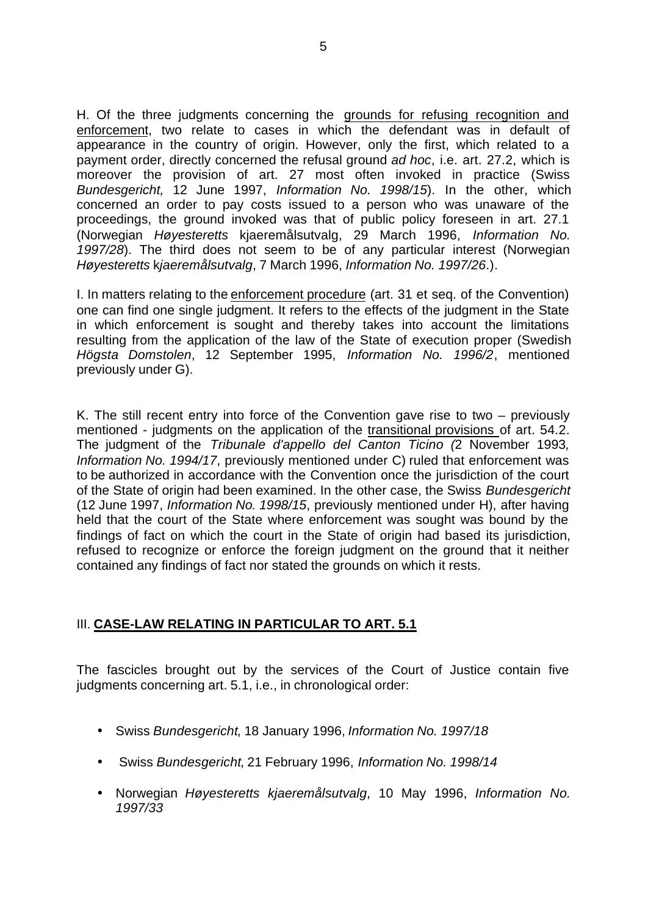H. Of the three judgments concerning the grounds for refusing recognition and enforcement, two relate to cases in which the defendant was in default of appearance in the country of origin. However, only the first, which related to a payment order, directly concerned the refusal ground *ad hoc*, i.e. art. 27.2, which is moreover the provision of art. 27 most often invoked in practice (Swiss *Bundesgericht,* 12 June 1997, *Information No. 1998/15*). In the other, which concerned an order to pay costs issued to a person who was unaware of the proceedings, the ground invoked was that of public policy foreseen in art. 27.1 (Norwegian *Høyesteretts* kjaeremålsutvalg, 29 March 1996, *Information No. 1997/28*). The third does not seem to be of any particular interest (Norwegian *Høyesteretts* k*jaeremålsutvalg*, 7 March 1996, *Information No. 1997/26*.).

I. In matters relating to the enforcement procedure (art. 31 et seq. of the Convention) one can find one single judgment. It refers to the effects of the judgment in the State in which enforcement is sought and thereby takes into account the limitations resulting from the application of the law of the State of execution proper (Swedish *Högsta Domstolen*, 12 September 1995, *Information No. 1996/2*, mentioned previously under G).

K. The still recent entry into force of the Convention gave rise to two – previously mentioned - judgments on the application of the transitional provisions of art. 54.2. The judgment of the *Tribunale d'appello del Canton Ticino (*2 November 1993*, Information No. 1994/17*, previously mentioned under C) ruled that enforcement was to be authorized in accordance with the Convention once the jurisdiction of the court of the State of origin had been examined. In the other case, the Swiss *Bundesgericht* (12 June 1997, *Information No. 1998/15*, previously mentioned under H), after having held that the court of the State where enforcement was sought was bound by the findings of fact on which the court in the State of origin had based its jurisdiction, refused to recognize or enforce the foreign judgment on the ground that it neither contained any findings of fact nor stated the grounds on which it rests.

# **III. CASE-LAW RELATING IN PARTICULAR TO ART. 5.1**

The fascicles brought out by the services of the Court of Justice contain five judgments concerning art. 5.1, i.e., in chronological order:

- Swiss *Bundesgericht*, 18 January 1996, *Information No. 1997/18*
- Swiss *Bundesgericht*, 21 February 1996, *Information No. 1998/14*
- Norwegian *Høyesteretts kjaeremålsutvalg*, 10 May 1996, *Information No. 1997/33*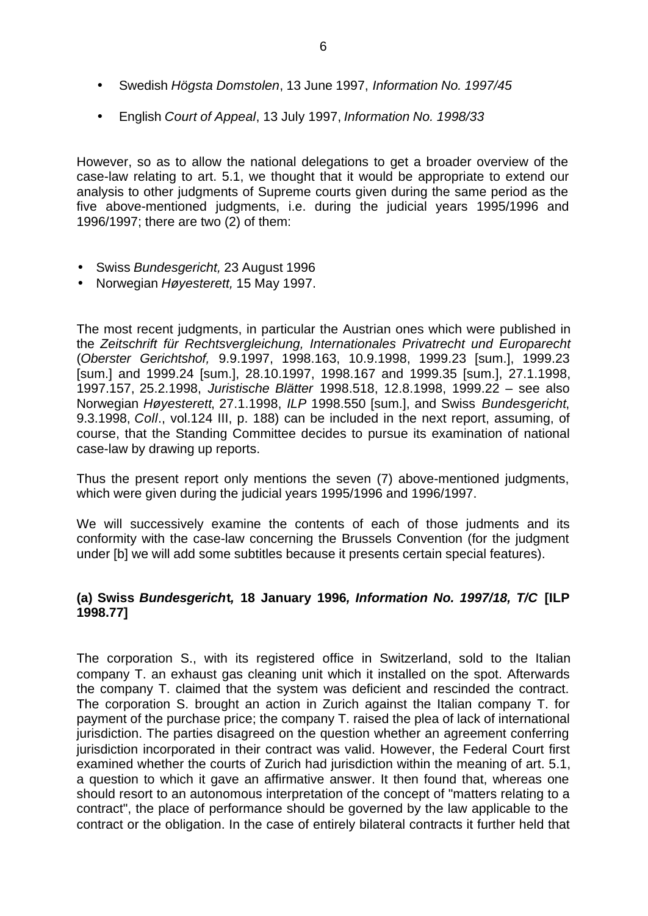- Swedish *Högsta Domstolen*, 13 June 1997, *Information No. 1997/45*
- English *Court of Appeal*, 13 July 1997, *Information No. 1998/33*

However, so as to allow the national delegations to get a broader overview of the case-law relating to art. 5.1, we thought that it would be appropriate to extend our analysis to other judgments of Supreme courts given during the same period as the five above-mentioned judgments, i.e. during the judicial years 1995/1996 and 1996/1997; there are two (2) of them:

- Swiss *Bundesgericht,* 23 August 1996
- Norwegian *Høyesterett,* 15 May 1997.

The most recent judgments, in particular the Austrian ones which were published in the *Zeitschrift für Rechtsvergleichung, Internationales Privatrecht und Europarecht* (*Oberster Gerichtshof,* 9.9.1997, 1998.163, 10.9.1998, 1999.23 [sum.], 1999.23 [sum.] and 1999.24 [sum.], 28.10.1997, 1998.167 and 1999.35 [sum.], 27.1.1998, 1997.157, 25.2.1998, *Juristische Blätter* 1998.518, 12.8.1998, 1999.22 – see also Norwegian *Høyesterett*, 27.1.1998, *ILP* 1998.550 [sum.], and Swiss *Bundesgericht*, 9.3.1998, *Coll*., vol.124 III, p. 188) can be included in the next report, assuming, of course, that the Standing Committee decides to pursue its examination of national case-law by drawing up reports.

Thus the present report only mentions the seven (7) above-mentioned judgments, which were given during the judicial years 1995/1996 and 1996/1997.

We will successively examine the contents of each of those judments and its conformity with the case-law concerning the Brussels Convention (for the judgment under [b] we will add some subtitles because it presents certain special features).

## **(a) Swiss** *Bundesgerich***t***,* **18 January 1996***, Information No. 1997/18, T/C* **[ILP 1998.77]**

The corporation S., with its registered office in Switzerland, sold to the Italian company T. an exhaust gas cleaning unit which it installed on the spot. Afterwards the company T. claimed that the system was deficient and rescinded the contract. The corporation S. brought an action in Zurich against the Italian company T. for payment of the purchase price; the company T. raised the plea of lack of international jurisdiction. The parties disagreed on the question whether an agreement conferring jurisdiction incorporated in their contract was valid. However, the Federal Court first examined whether the courts of Zurich had jurisdiction within the meaning of art. 5.1, a question to which it gave an affirmative answer. It then found that, whereas one should resort to an autonomous interpretation of the concept of "matters relating to a contract", the place of performance should be governed by the law applicable to the contract or the obligation. In the case of entirely bilateral contracts it further held that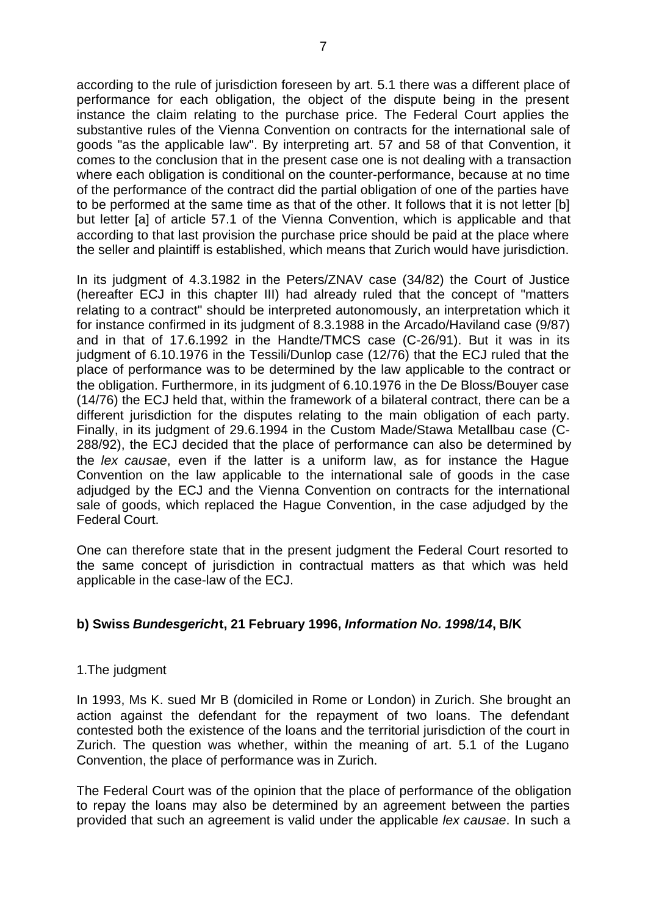according to the rule of jurisdiction foreseen by art. 5.1 there was a different place of performance for each obligation, the object of the dispute being in the present instance the claim relating to the purchase price. The Federal Court applies the substantive rules of the Vienna Convention on contracts for the international sale of goods "as the applicable law". By interpreting art. 57 and 58 of that Convention, it comes to the conclusion that in the present case one is not dealing with a transaction where each obligation is conditional on the counter-performance, because at no time of the performance of the contract did the partial obligation of one of the parties have to be performed at the same time as that of the other. It follows that it is not letter [b] but letter [a] of article 57.1 of the Vienna Convention, which is applicable and that according to that last provision the purchase price should be paid at the place where the seller and plaintiff is established, which means that Zurich would have jurisdiction.

In its judgment of 4.3.1982 in the Peters/ZNAV case (34/82) the Court of Justice (hereafter ECJ in this chapter III) had already ruled that the concept of "matters relating to a contract" should be interpreted autonomously, an interpretation which it for instance confirmed in its judgment of 8.3.1988 in the Arcado/Haviland case (9/87) and in that of 17.6.1992 in the Handte/TMCS case (C-26/91). But it was in its judgment of 6.10.1976 in the Tessili/Dunlop case (12/76) that the ECJ ruled that the place of performance was to be determined by the law applicable to the contract or the obligation. Furthermore, in its judgment of 6.10.1976 in the De Bloss/Bouyer case (14/76) the ECJ held that, within the framework of a bilateral contract, there can be a different jurisdiction for the disputes relating to the main obligation of each party. Finally, in its judgment of 29.6.1994 in the Custom Made/Stawa Metallbau case (C-288/92), the ECJ decided that the place of performance can also be determined by the *lex causae*, even if the latter is a uniform law, as for instance the Hague Convention on the law applicable to the international sale of goods in the case adjudged by the ECJ and the Vienna Convention on contracts for the international sale of goods, which replaced the Hague Convention, in the case adjudged by the Federal Court.

One can therefore state that in the present judgment the Federal Court resorted to the same concept of jurisdiction in contractual matters as that which was held applicable in the case-law of the ECJ.

### **b) Swiss** *Bundesgerich***t, 21 February 1996,** *Information No. 1998/14***, B/K**

### 1.The judgment

In 1993, Ms K. sued Mr B (domiciled in Rome or London) in Zurich. She brought an action against the defendant for the repayment of two loans. The defendant contested both the existence of the loans and the territorial jurisdiction of the court in Zurich. The question was whether, within the meaning of art. 5.1 of the Lugano Convention, the place of performance was in Zurich.

The Federal Court was of the opinion that the place of performance of the obligation to repay the loans may also be determined by an agreement between the parties provided that such an agreement is valid under the applicable *lex causae*. In such a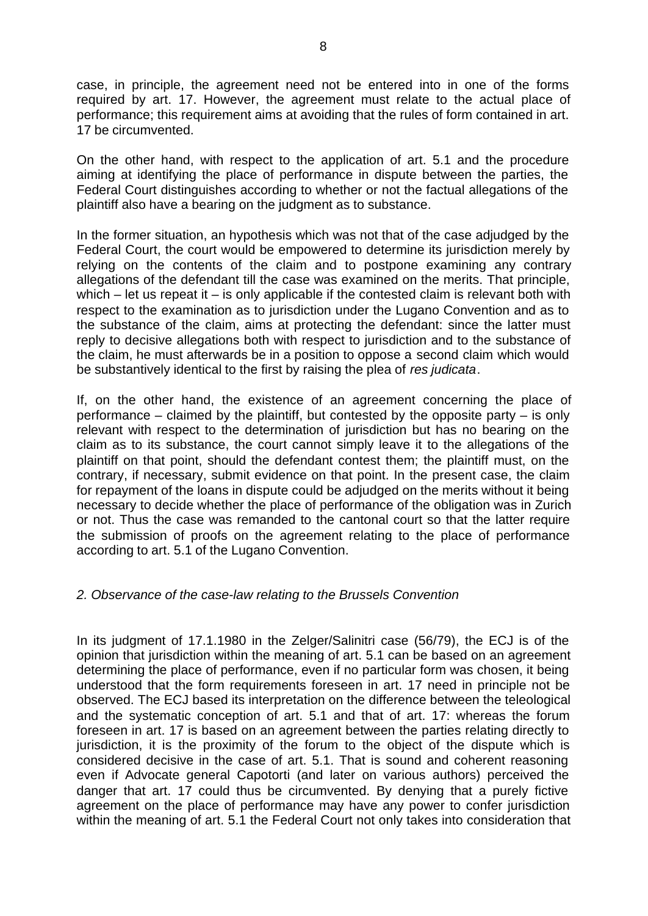case, in principle, the agreement need not be entered into in one of the forms required by art. 17. However, the agreement must relate to the actual place of performance; this requirement aims at avoiding that the rules of form contained in art. 17 be circumvented.

On the other hand, with respect to the application of art. 5.1 and the procedure aiming at identifying the place of performance in dispute between the parties, the Federal Court distinguishes according to whether or not the factual allegations of the plaintiff also have a bearing on the judgment as to substance.

In the former situation, an hypothesis which was not that of the case adjudged by the Federal Court, the court would be empowered to determine its jurisdiction merely by relying on the contents of the claim and to postpone examining any contrary allegations of the defendant till the case was examined on the merits. That principle, which – let us repeat it – is only applicable if the contested claim is relevant both with respect to the examination as to jurisdiction under the Lugano Convention and as to the substance of the claim, aims at protecting the defendant: since the latter must reply to decisive allegations both with respect to jurisdiction and to the substance of the claim, he must afterwards be in a position to oppose a second claim which would be substantively identical to the first by raising the plea of *res judicata*.

If, on the other hand, the existence of an agreement concerning the place of performance – claimed by the plaintiff, but contested by the opposite party – is only relevant with respect to the determination of jurisdiction but has no bearing on the claim as to its substance, the court cannot simply leave it to the allegations of the plaintiff on that point, should the defendant contest them; the plaintiff must, on the contrary, if necessary, submit evidence on that point. In the present case, the claim for repayment of the loans in dispute could be adjudged on the merits without it being necessary to decide whether the place of performance of the obligation was in Zurich or not. Thus the case was remanded to the cantonal court so that the latter require the submission of proofs on the agreement relating to the place of performance according to art. 5.1 of the Lugano Convention.

### *2. Observance of the case-law relating to the Brussels Convention*

In its judgment of 17.1.1980 in the Zelger/Salinitri case (56/79), the ECJ is of the opinion that jurisdiction within the meaning of art. 5.1 can be based on an agreement determining the place of performance, even if no particular form was chosen, it being understood that the form requirements foreseen in art. 17 need in principle not be observed. The ECJ based its interpretation on the difference between the teleological and the systematic conception of art. 5.1 and that of art. 17: whereas the forum foreseen in art. 17 is based on an agreement between the parties relating directly to jurisdiction, it is the proximity of the forum to the object of the dispute which is considered decisive in the case of art. 5.1. That is sound and coherent reasoning even if Advocate general Capotorti (and later on various authors) perceived the danger that art. 17 could thus be circumvented. By denying that a purely fictive agreement on the place of performance may have any power to confer jurisdiction within the meaning of art. 5.1 the Federal Court not only takes into consideration that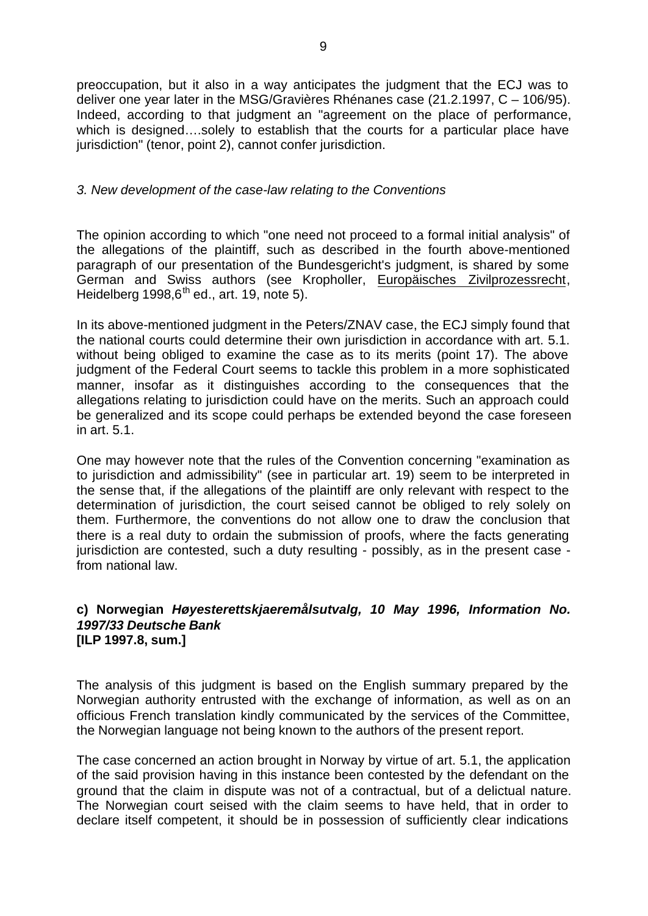preoccupation, but it also in a way anticipates the judgment that the ECJ was to deliver one year later in the MSG/Gravières Rhénanes case (21.2.1997, C – 106/95). Indeed, according to that judgment an "agreement on the place of performance, which is designed....solely to establish that the courts for a particular place have jurisdiction" (tenor, point 2), cannot confer jurisdiction.

#### *3. New development of the case-law relating to the Conventions*

The opinion according to which "one need not proceed to a formal initial analysis" of the allegations of the plaintiff, such as described in the fourth above-mentioned paragraph of our presentation of the Bundesgericht's judgment, is shared by some German and Swiss authors (see Kropholler, Europäisches Zivilprozessrecht, Heidelberg  $1998.6<sup>th</sup>$  ed., art. 19, note 5).

In its above-mentioned judgment in the Peters/ZNAV case, the ECJ simply found that the national courts could determine their own jurisdiction in accordance with art. 5.1. without being obliged to examine the case as to its merits (point 17). The above judgment of the Federal Court seems to tackle this problem in a more sophisticated manner, insofar as it distinguishes according to the consequences that the allegations relating to jurisdiction could have on the merits. Such an approach could be generalized and its scope could perhaps be extended beyond the case foreseen in art. 5.1.

One may however note that the rules of the Convention concerning "examination as to jurisdiction and admissibility" (see in particular art. 19) seem to be interpreted in the sense that, if the allegations of the plaintiff are only relevant with respect to the determination of jurisdiction, the court seised cannot be obliged to rely solely on them. Furthermore, the conventions do not allow one to draw the conclusion that there is a real duty to ordain the submission of proofs, where the facts generating jurisdiction are contested, such a duty resulting - possibly, as in the present case from national law.

#### **c) Norwegian** *Høyesterettskjaeremålsutvalg, 10 May 1996, Information No. 1997/33 Deutsche Bank* **[ILP 1997.8, sum.]**

The analysis of this judgment is based on the English summary prepared by the Norwegian authority entrusted with the exchange of information, as well as on an officious French translation kindly communicated by the services of the Committee, the Norwegian language not being known to the authors of the present report.

The case concerned an action brought in Norway by virtue of art. 5.1, the application of the said provision having in this instance been contested by the defendant on the ground that the claim in dispute was not of a contractual, but of a delictual nature. The Norwegian court seised with the claim seems to have held, that in order to declare itself competent, it should be in possession of sufficiently clear indications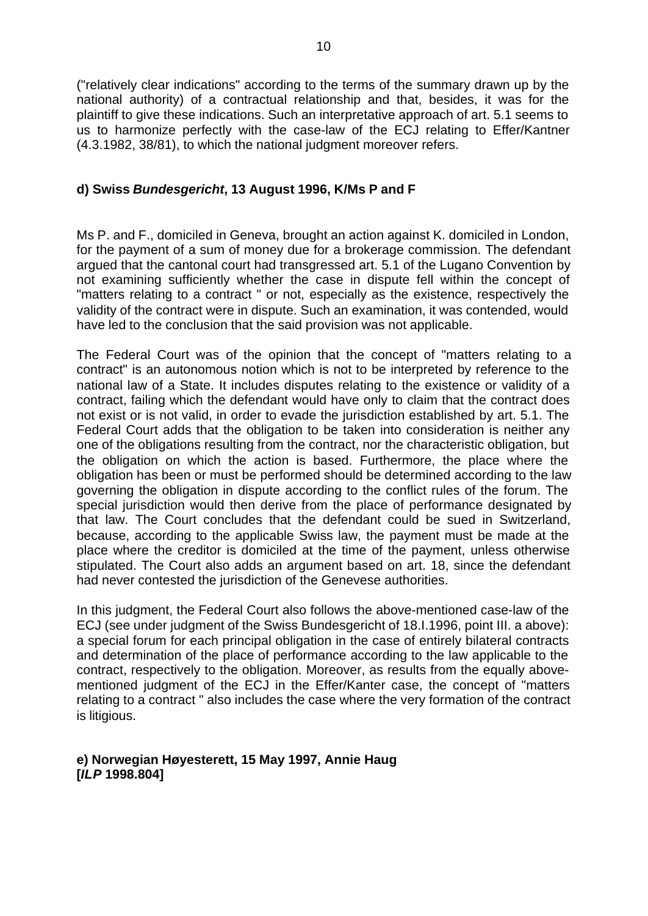("relatively clear indications" according to the terms of the summary drawn up by the national authority) of a contractual relationship and that, besides, it was for the plaintiff to give these indications. Such an interpretative approach of art. 5.1 seems to us to harmonize perfectly with the case-law of the ECJ relating to Effer/Kantner (4.3.1982, 38/81), to which the national judgment moreover refers.

### **d) Swiss** *Bundesgericht***, 13 August 1996, K/Ms P and F**

Ms P. and F., domiciled in Geneva, brought an action against K. domiciled in London, for the payment of a sum of money due for a brokerage commission. The defendant argued that the cantonal court had transgressed art. 5.1 of the Lugano Convention by not examining sufficiently whether the case in dispute fell within the concept of "matters relating to a contract " or not, especially as the existence, respectively the validity of the contract were in dispute. Such an examination, it was contended, would have led to the conclusion that the said provision was not applicable.

The Federal Court was of the opinion that the concept of "matters relating to a contract" is an autonomous notion which is not to be interpreted by reference to the national law of a State. It includes disputes relating to the existence or validity of a contract, failing which the defendant would have only to claim that the contract does not exist or is not valid, in order to evade the jurisdiction established by art. 5.1. The Federal Court adds that the obligation to be taken into consideration is neither any one of the obligations resulting from the contract, nor the characteristic obligation, but the obligation on which the action is based. Furthermore, the place where the obligation has been or must be performed should be determined according to the law governing the obligation in dispute according to the conflict rules of the forum. The special jurisdiction would then derive from the place of performance designated by that law. The Court concludes that the defendant could be sued in Switzerland, because, according to the applicable Swiss law, the payment must be made at the place where the creditor is domiciled at the time of the payment, unless otherwise stipulated. The Court also adds an argument based on art. 18, since the defendant had never contested the jurisdiction of the Genevese authorities.

In this judgment, the Federal Court also follows the above-mentioned case-law of the ECJ (see under judgment of the Swiss Bundesgericht of 18.I.1996, point III. a above): a special forum for each principal obligation in the case of entirely bilateral contracts and determination of the place of performance according to the law applicable to the contract, respectively to the obligation. Moreover, as results from the equally abovementioned judgment of the ECJ in the Effer/Kanter case, the concept of "matters relating to a contract " also includes the case where the very formation of the contract is litigious.

### **e) Norwegian Høyesterett, 15 May 1997, Annie Haug [***ILP* **1998.804]**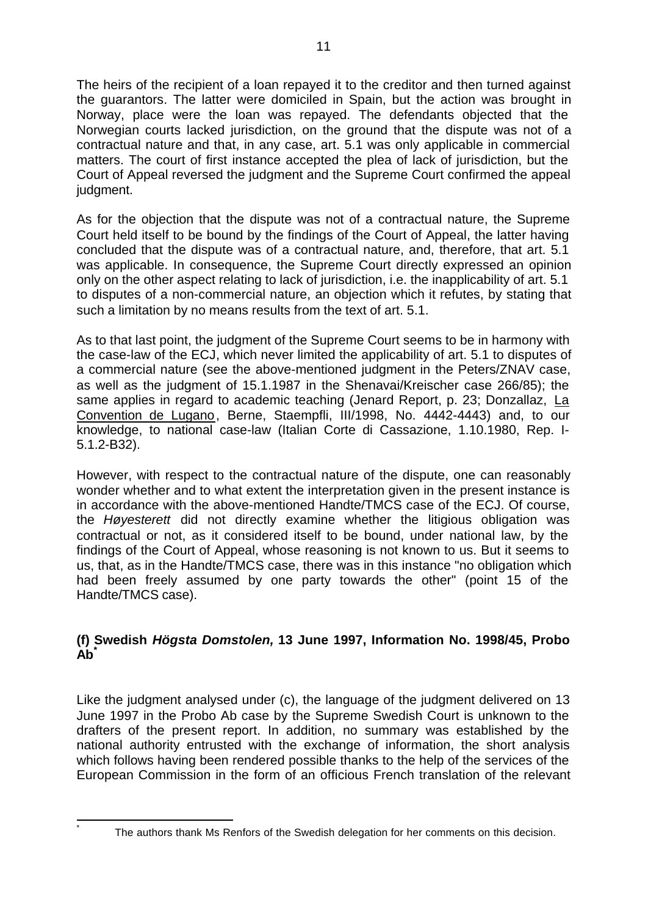The heirs of the recipient of a loan repayed it to the creditor and then turned against the guarantors. The latter were domiciled in Spain, but the action was brought in Norway, place were the loan was repayed. The defendants objected that the Norwegian courts lacked jurisdiction, on the ground that the dispute was not of a contractual nature and that, in any case, art. 5.1 was only applicable in commercial matters. The court of first instance accepted the plea of lack of jurisdiction, but the Court of Appeal reversed the judgment and the Supreme Court confirmed the appeal judgment.

As for the objection that the dispute was not of a contractual nature, the Supreme Court held itself to be bound by the findings of the Court of Appeal, the latter having concluded that the dispute was of a contractual nature, and, therefore, that art. 5.1 was applicable. In consequence, the Supreme Court directly expressed an opinion only on the other aspect relating to lack of jurisdiction, i.e. the inapplicability of art. 5.1 to disputes of a non-commercial nature, an objection which it refutes, by stating that such a limitation by no means results from the text of art. 5.1.

As to that last point, the judgment of the Supreme Court seems to be in harmony with the case-law of the ECJ, which never limited the applicability of art. 5.1 to disputes of a commercial nature (see the above-mentioned judgment in the Peters/ZNAV case, as well as the judgment of 15.1.1987 in the Shenavai/Kreischer case 266/85); the same applies in regard to academic teaching (Jenard Report, p. 23; Donzallaz, La Convention de Lugano, Berne, Staempfli, III/1998, No. 4442-4443) and, to our knowledge, to national case-law (Italian Corte di Cassazione, 1.10.1980, Rep. I-5.1.2-B32).

However, with respect to the contractual nature of the dispute, one can reasonably wonder whether and to what extent the interpretation given in the present instance is in accordance with the above-mentioned Handte/TMCS case of the ECJ. Of course, the *Høyesterett* did not directly examine whether the litigious obligation was contractual or not, as it considered itself to be bound, under national law, by the findings of the Court of Appeal, whose reasoning is not known to us. But it seems to us, that, as in the Handte/TMCS case, there was in this instance "no obligation which had been freely assumed by one party towards the other" (point 15 of the Handte/TMCS case).

# **(f) Swedish** *Högsta Domstolen,* **13 June 1997, Information No. 1998/45, Probo Ab\***

Like the judgment analysed under (c), the language of the judgment delivered on 13 June 1997 in the Probo Ab case by the Supreme Swedish Court is unknown to the drafters of the present report. In addition, no summary was established by the national authority entrusted with the exchange of information, the short analysis which follows having been rendered possible thanks to the help of the services of the European Commission in the form of an officious French translation of the relevant

 $\overline{1}$ \*

The authors thank Ms Renfors of the Swedish delegation for her comments on this decision.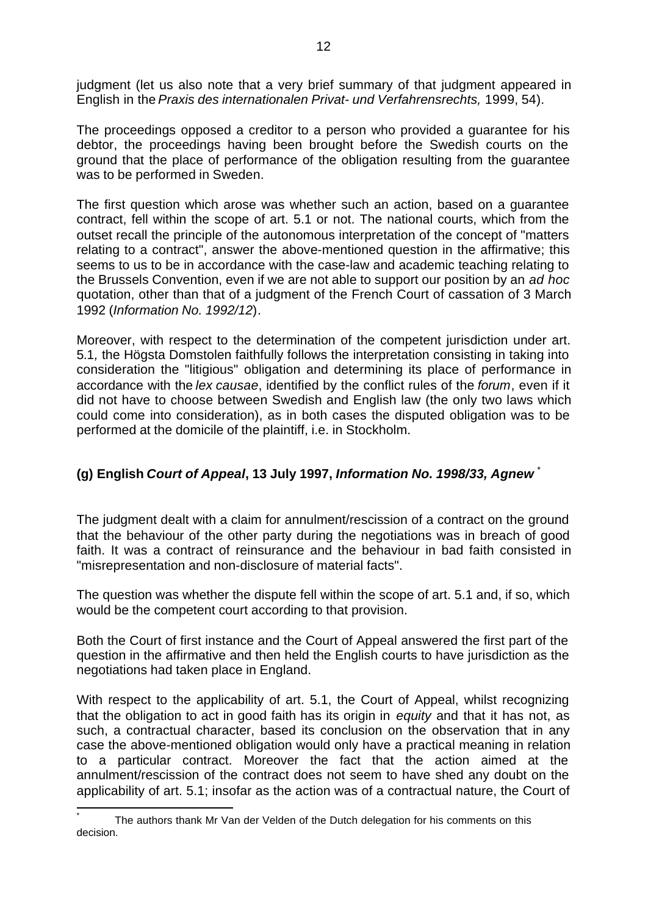judgment (let us also note that a very brief summary of that judgment appeared in English in the *Praxis des internationalen Privat- und Verfahrensrechts,* 1999, 54).

The proceedings opposed a creditor to a person who provided a guarantee for his debtor, the proceedings having been brought before the Swedish courts on the ground that the place of performance of the obligation resulting from the guarantee was to be performed in Sweden.

The first question which arose was whether such an action, based on a guarantee contract, fell within the scope of art. 5.1 or not. The national courts, which from the outset recall the principle of the autonomous interpretation of the concept of "matters relating to a contract", answer the above-mentioned question in the affirmative; this seems to us to be in accordance with the case-law and academic teaching relating to the Brussels Convention, even if we are not able to support our position by an *ad hoc* quotation, other than that of a judgment of the French Court of cassation of 3 March 1992 (*Information No. 1992/12*).

Moreover, with respect to the determination of the competent jurisdiction under art. 5.1*,* the Högsta Domstolen faithfully follows the interpretation consisting in taking into consideration the "litigious" obligation and determining its place of performance in accordance with the *lex causae*, identified by the conflict rules of the *forum*, even if it did not have to choose between Swedish and English law (the only two laws which could come into consideration), as in both cases the disputed obligation was to be performed at the domicile of the plaintiff, i.e. in Stockholm.

# **(g) English** *Court of Appeal***, 13 July 1997,** *Information No. 1998/33, Agnew* \*

The judgment dealt with a claim for annulment/rescission of a contract on the ground that the behaviour of the other party during the negotiations was in breach of good faith. It was a contract of reinsurance and the behaviour in bad faith consisted in "misrepresentation and non-disclosure of material facts".

The question was whether the dispute fell within the scope of art. 5.1 and, if so, which would be the competent court according to that provision.

Both the Court of first instance and the Court of Appeal answered the first part of the question in the affirmative and then held the English courts to have jurisdiction as the negotiations had taken place in England.

With respect to the applicability of art. 5.1, the Court of Appeal, whilst recognizing that the obligation to act in good faith has its origin in *equity* and that it has not, as such, a contractual character, based its conclusion on the observation that in any case the above-mentioned obligation would only have a practical meaning in relation to a particular contract. Moreover the fact that the action aimed at the annulment/rescission of the contract does not seem to have shed any doubt on the applicability of art. 5.1; insofar as the action was of a contractual nature, the Court of

j \* The authors thank Mr Van der Velden of the Dutch delegation for his comments on this decision.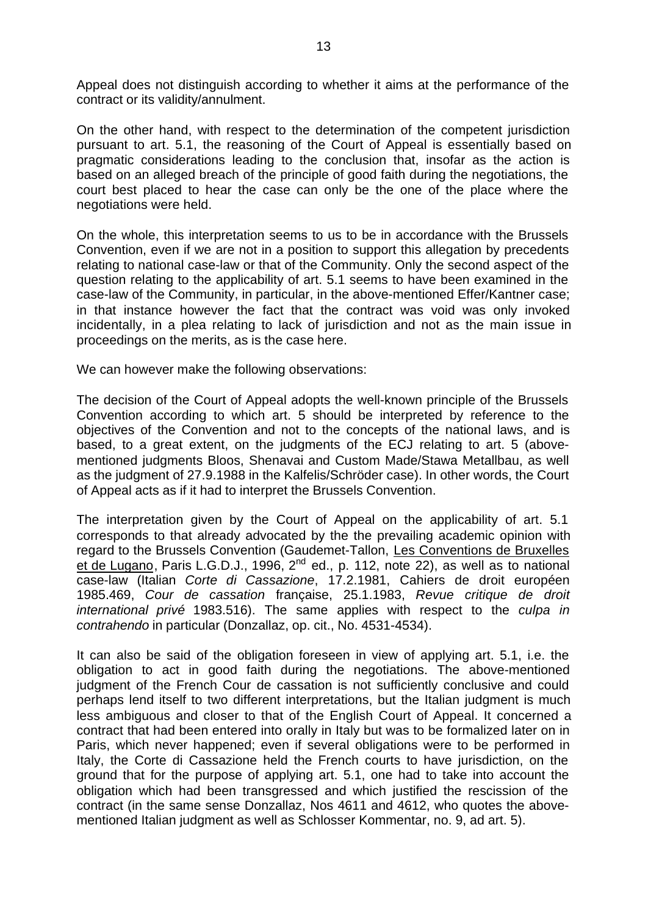Appeal does not distinguish according to whether it aims at the performance of the contract or its validity/annulment.

On the other hand, with respect to the determination of the competent jurisdiction pursuant to art. 5.1, the reasoning of the Court of Appeal is essentially based on pragmatic considerations leading to the conclusion that, insofar as the action is based on an alleged breach of the principle of good faith during the negotiations, the court best placed to hear the case can only be the one of the place where the negotiations were held.

On the whole, this interpretation seems to us to be in accordance with the Brussels Convention, even if we are not in a position to support this allegation by precedents relating to national case-law or that of the Community. Only the second aspect of the question relating to the applicability of art. 5.1 seems to have been examined in the case-law of the Community, in particular, in the above-mentioned Effer/Kantner case; in that instance however the fact that the contract was void was only invoked incidentally, in a plea relating to lack of jurisdiction and not as the main issue in proceedings on the merits, as is the case here.

We can however make the following observations:

The decision of the Court of Appeal adopts the well-known principle of the Brussels Convention according to which art. 5 should be interpreted by reference to the objectives of the Convention and not to the concepts of the national laws, and is based, to a great extent, on the judgments of the ECJ relating to art. 5 (abovementioned judgments Bloos, Shenavai and Custom Made/Stawa Metallbau, as well as the judgment of 27.9.1988 in the Kalfelis/Schröder case). In other words, the Court of Appeal acts as if it had to interpret the Brussels Convention.

The interpretation given by the Court of Appeal on the applicability of art. 5.1 corresponds to that already advocated by the the prevailing academic opinion with regard to the Brussels Convention (Gaudemet-Tallon, Les Conventions de Bruxelles et de Lugano, Paris L.G.D.J., 1996, 2<sup>nd</sup> ed., p. 112, note 22), as well as to national case-law (Italian *Corte di Cassazione*, 17.2.1981, Cahiers de droit européen 1985.469, *Cour de cassation* française, 25.1.1983, *Revue critique de droit international privé* 1983.516). The same applies with respect to the *culpa in contrahendo* in particular (Donzallaz, op. cit., No. 4531-4534).

It can also be said of the obligation foreseen in view of applying art. 5.1, i.e. the obligation to act in good faith during the negotiations. The above-mentioned judgment of the French Cour de cassation is not sufficiently conclusive and could perhaps lend itself to two different interpretations, but the Italian judgment is much less ambiguous and closer to that of the English Court of Appeal. It concerned a contract that had been entered into orally in Italy but was to be formalized later on in Paris, which never happened; even if several obligations were to be performed in Italy, the Corte di Cassazione held the French courts to have jurisdiction, on the ground that for the purpose of applying art. 5.1, one had to take into account the obligation which had been transgressed and which justified the rescission of the contract (in the same sense Donzallaz, Nos 4611 and 4612, who quotes the abovementioned Italian judgment as well as Schlosser Kommentar, no. 9, ad art. 5).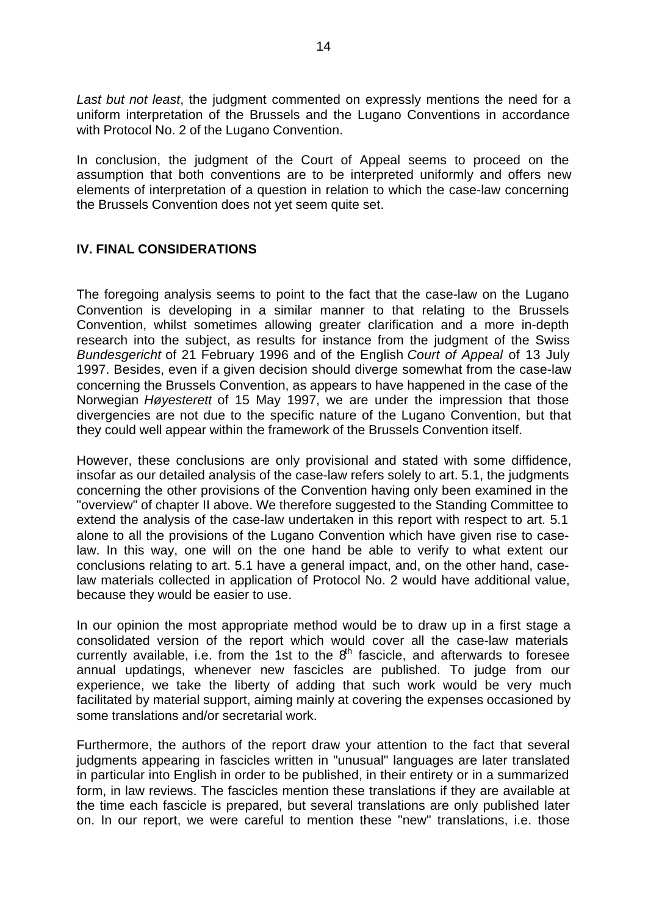*Last but not least*, the judgment commented on expressly mentions the need for a uniform interpretation of the Brussels and the Lugano Conventions in accordance with Protocol No. 2 of the Lugano Convention.

In conclusion, the judgment of the Court of Appeal seems to proceed on the assumption that both conventions are to be interpreted uniformly and offers new elements of interpretation of a question in relation to which the case-law concerning the Brussels Convention does not yet seem quite set.

## **IV. FINAL CONSIDERATIONS**

The foregoing analysis seems to point to the fact that the case-law on the Lugano Convention is developing in a similar manner to that relating to the Brussels Convention, whilst sometimes allowing greater clarification and a more in-depth research into the subject, as results for instance from the judgment of the Swiss *Bundesgericht* of 21 February 1996 and of the English *Court of Appeal* of 13 July 1997. Besides, even if a given decision should diverge somewhat from the case-law concerning the Brussels Convention, as appears to have happened in the case of the Norwegian *Høyesterett* of 15 May 1997, we are under the impression that those divergencies are not due to the specific nature of the Lugano Convention, but that they could well appear within the framework of the Brussels Convention itself.

However, these conclusions are only provisional and stated with some diffidence, insofar as our detailed analysis of the case-law refers solely to art. 5.1, the judgments concerning the other provisions of the Convention having only been examined in the "overview" of chapter II above. We therefore suggested to the Standing Committee to extend the analysis of the case-law undertaken in this report with respect to art. 5.1 alone to all the provisions of the Lugano Convention which have given rise to caselaw. In this way, one will on the one hand be able to verify to what extent our conclusions relating to art. 5.1 have a general impact, and, on the other hand, caselaw materials collected in application of Protocol No. 2 would have additional value, because they would be easier to use.

In our opinion the most appropriate method would be to draw up in a first stage a consolidated version of the report which would cover all the case-law materials currently available, i.e. from the 1st to the  $8<sup>th</sup>$  fascicle, and afterwards to foresee annual updatings, whenever new fascicles are published. To judge from our experience, we take the liberty of adding that such work would be very much facilitated by material support, aiming mainly at covering the expenses occasioned by some translations and/or secretarial work.

Furthermore, the authors of the report draw your attention to the fact that several judgments appearing in fascicles written in "unusual" languages are later translated in particular into English in order to be published, in their entirety or in a summarized form, in law reviews. The fascicles mention these translations if they are available at the time each fascicle is prepared, but several translations are only published later on. In our report, we were careful to mention these "new" translations, i.e. those